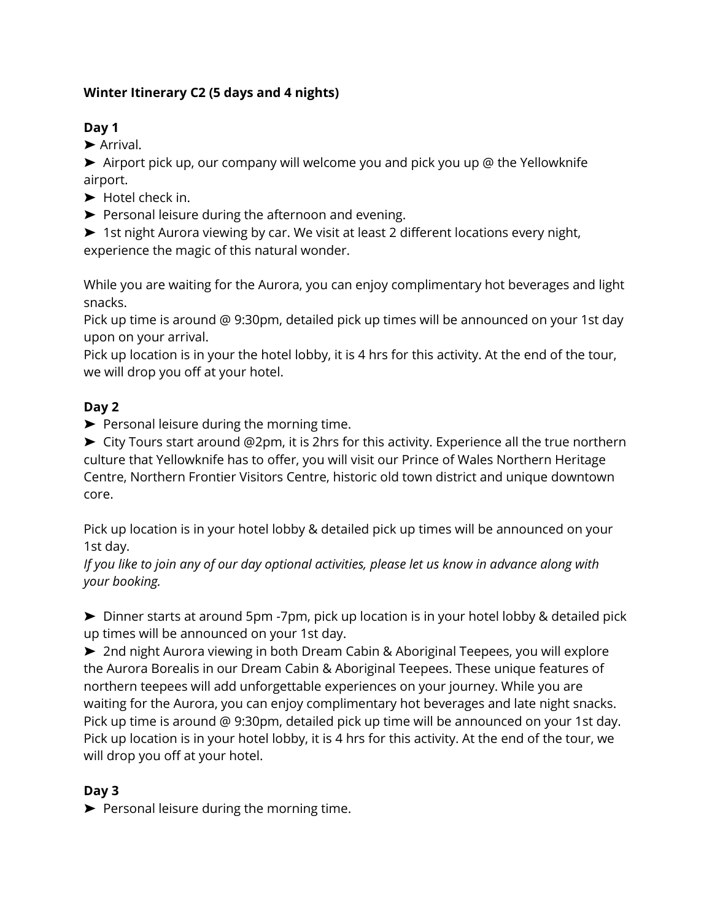### **Winter Itinerary C2 (5 days and 4 nights)**

### **Day 1**

➤ Arrival.

➤ Airport pick up, our company will welcome you and pick you up @ the Yellowknife airport.

- ➤ Hotel check in.
- ➤ Personal leisure during the afternoon and evening.

➤ 1st night Aurora viewing by car. We visit at least 2 different locations every night, experience the magic of this natural wonder.

While you are waiting for the Aurora, you can enjoy complimentary hot beverages and light snacks.

Pick up time is around @ 9:30pm, detailed pick up times will be announced on your 1st day upon on your arrival.

Pick up location is in your the hotel lobby, it is 4 hrs for this activity. At the end of the tour, we will drop you off at your hotel.

#### **Day 2**

➤ Personal leisure during the morning time.

➤ City Tours start around @2pm, it is 2hrs for this activity. Experience all the true northern culture that Yellowknife has to offer, you will visit our Prince of Wales Northern Heritage Centre, Northern Frontier Visitors Centre, historic old town district and unique downtown core.

Pick up location is in your hotel lobby & detailed pick up times will be announced on your 1st day.

*If you like to join any of our day optional activities, please let us know in advance along with your booking.*

➤ Dinner starts at around 5pm -7pm, pick up location is in your hotel lobby & detailed pick up times will be announced on your 1st day.

➤ 2nd night Aurora viewing in both Dream Cabin & Aboriginal Teepees, you will explore the Aurora Borealis in our Dream Cabin & Aboriginal Teepees. These unique features of northern teepees will add unforgettable experiences on your journey. While you are waiting for the Aurora, you can enjoy complimentary hot beverages and late night snacks. Pick up time is around @ 9:30pm, detailed pick up time will be announced on your 1st day. Pick up location is in your hotel lobby, it is 4 hrs for this activity. At the end of the tour, we will drop you off at your hotel.

# **Day 3**

➤ Personal leisure during the morning time.